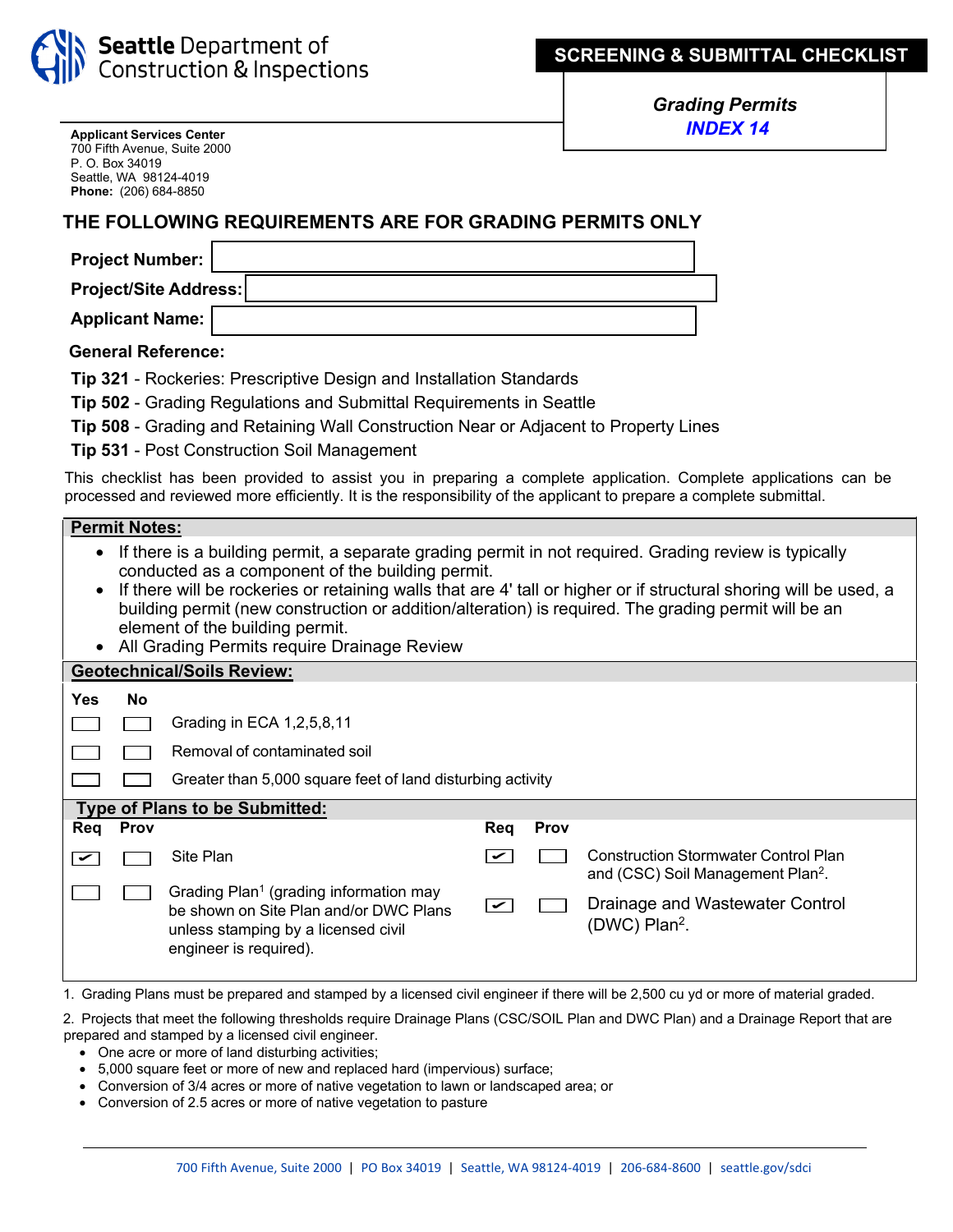

*Grading Permits INDEX 14*

**Applicant Services Center** 700 Fifth Avenue, Suite 2000 P. O. Box 34019 Seattle, WA 98124-4019 **Phone:** (206) 684-8850

## **THE FOLLOWING REQUIREMENTS ARE FOR GRADING PERMITS ONLY**

| <b>Project Number:</b>       |  |  |  |  |
|------------------------------|--|--|--|--|
| <b>Project/Site Address:</b> |  |  |  |  |
| <b>Applicant Name:</b>       |  |  |  |  |

**General Reference:**

|  | Tip 321 - Rockeries: Prescriptive Design and Installation Standards |  |  |
|--|---------------------------------------------------------------------|--|--|
|--|---------------------------------------------------------------------|--|--|

|  | Tip 502 - Grading Regulations and Submittal Requirements in Seattle |  |  |  |
|--|---------------------------------------------------------------------|--|--|--|
|  |                                                                     |  |  |  |

**Tip 508** [- Grading and Retaining Wall Construction Near or Adjacent to Property Lines](https://www.seattle.gov/DPD/Publications/CAM/cam508.pdf)

**Tip 531** [- Post Construction Soil Management](https://www.seattle.gov/DPD/Publications/CAM/cam531.pdf)

This checklist has been provided to assist you in preparing a complete application. Complete applications can be processed and reviewed more efficiently. It is the responsibility of the applicant to prepare a complete submittal.

|                                                                                                                                                                                                                                                                                                                                                                                                                                                                          | <b>Permit Notes:</b> |                                                                                                                                                               |                                           |               |                                                                                              |  |  |
|--------------------------------------------------------------------------------------------------------------------------------------------------------------------------------------------------------------------------------------------------------------------------------------------------------------------------------------------------------------------------------------------------------------------------------------------------------------------------|----------------------|---------------------------------------------------------------------------------------------------------------------------------------------------------------|-------------------------------------------|---------------|----------------------------------------------------------------------------------------------|--|--|
| If there is a building permit, a separate grading permit in not required. Grading review is typically<br>conducted as a component of the building permit.<br>If there will be rockeries or retaining walls that are 4' tall or higher or if structural shoring will be used, a<br>building permit (new construction or addition/alteration) is required. The grading permit will be an<br>element of the building permit.<br>All Grading Permits require Drainage Review |                      |                                                                                                                                                               |                                           |               |                                                                                              |  |  |
|                                                                                                                                                                                                                                                                                                                                                                                                                                                                          |                      | <b>Geotechnical/Soils Review:</b>                                                                                                                             |                                           |               |                                                                                              |  |  |
| Yes                                                                                                                                                                                                                                                                                                                                                                                                                                                                      | No                   |                                                                                                                                                               |                                           |               |                                                                                              |  |  |
|                                                                                                                                                                                                                                                                                                                                                                                                                                                                          |                      | Grading in ECA 1,2,5,8,11                                                                                                                                     |                                           |               |                                                                                              |  |  |
|                                                                                                                                                                                                                                                                                                                                                                                                                                                                          |                      | Removal of contaminated soil                                                                                                                                  |                                           |               |                                                                                              |  |  |
|                                                                                                                                                                                                                                                                                                                                                                                                                                                                          |                      | Greater than 5,000 square feet of land disturbing activity                                                                                                    |                                           |               |                                                                                              |  |  |
| <b>Type of Plans to be Submitted:</b>                                                                                                                                                                                                                                                                                                                                                                                                                                    |                      |                                                                                                                                                               |                                           |               |                                                                                              |  |  |
| Req                                                                                                                                                                                                                                                                                                                                                                                                                                                                      | Prov                 |                                                                                                                                                               | Req                                       | Prov          |                                                                                              |  |  |
| $\blacktriangleright$                                                                                                                                                                                                                                                                                                                                                                                                                                                    |                      | Site Plan                                                                                                                                                     | lV                                        |               | <b>Construction Stormwater Control Plan</b><br>and (CSC) Soil Management Plan <sup>2</sup> . |  |  |
|                                                                                                                                                                                                                                                                                                                                                                                                                                                                          |                      | Grading Plan <sup>1</sup> (grading information may<br>be shown on Site Plan and/or DWC Plans<br>unless stamping by a licensed civil<br>engineer is required). | $\overline{\mathbf{v}}$                   |               | Drainage and Wastewater Control<br>(DWC) Plan <sup>2</sup> .                                 |  |  |
|                                                                                                                                                                                                                                                                                                                                                                                                                                                                          |                      | $\sim$<br>$\mathbf{r}$ and $\mathbf{r}$ and $\mathbf{r}$                                                                                                      | $\sim$ $\sim$ $\sim$ $\sim$ $\sim$ $\sim$ | $\sim$ $\sim$ | $\cdots$ $\sim$ $\sim$ $\sim$                                                                |  |  |

1. Grading Plans must be prepared and stamped by a licensed civil engineer if there will be 2,500 cu yd or more of material graded.

2. Projects that meet the following thresholds require Drainage Plans (CSC/SOIL Plan and DWC Plan) and a Drainage Report that are prepared and stamped by a licensed civil engineer.

- One acre or more of land disturbing activities;
- 5,000 square feet or more of new and replaced hard (impervious) surface;
- Conversion of 3/4 acres or more of native vegetation to lawn or landscaped area; or
- Conversion of 2.5 acres or more of native vegetation to pasture